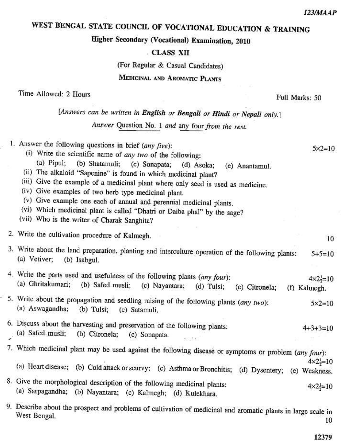# WEST BENGAL STATE COUNCIL OF VOCATIONAL EDUCATION & TRAINING

Higher Secondary (Vocational) Examination, 2010

## . CLASS XII

(For Regular & Casual Candidates)

# MEDICINAL AND AROMATIC PLANTS

Time Allowed: 2 Hours

Full Marks: 50

[Answers can be written in English or Bengali or Hindi or Nepali only.]

Answer Question No. 1 and any four from the rest.

| 1. Answer the following questions in brief (any five):<br>$5 \times 2 = 10$<br>(i) Write the scientific name of any two of the following:<br>$(a)$ Pipul;<br>(b) Shatamuli; (c) Sonapata;<br>(d) Asoka;<br>(e) Anantamul.<br>(ii) The alkaloid "Sapenine" is found in which medicinal plant?<br>(iii) Give the example of a medicinal plant where only seed is used as medicine.<br>(iv) Give examples of two herb type medicinal plant.<br>(v) Give example one each of annual and perennial medicinal plants. |  |
|-----------------------------------------------------------------------------------------------------------------------------------------------------------------------------------------------------------------------------------------------------------------------------------------------------------------------------------------------------------------------------------------------------------------------------------------------------------------------------------------------------------------|--|
| (vi) Which medicinal plant is called "Dhatri or Daiba phal" by the sage?<br>(vii) Who is the writer of Charak Sanghita?                                                                                                                                                                                                                                                                                                                                                                                         |  |
| 2. Write the cultivation procedure of Kalmegh.<br>10                                                                                                                                                                                                                                                                                                                                                                                                                                                            |  |
| 3. Write about the land preparation, planting and interculture operation of the following plants:<br>$5+5=10$<br>(a) Vetiver;<br>(b) Isabgul.                                                                                                                                                                                                                                                                                                                                                                   |  |
| 4. Write the parts used and usefulness of the following plants (any four):<br>$4 \times 2 = 10$<br>(a) Ghritakumari;<br>(b) Safed musli;<br>(c) Nayantara;<br>$(d)$ Tulsi;<br>(e) Citronela;<br>(f) Kalmegh.                                                                                                                                                                                                                                                                                                    |  |
| 5. Write about the propagation and seedling raising of the following plants (any two):<br>$5 \times 2 = 10$<br>(a) Aswagandha;<br>$(b)$ Tulsi;<br>(c) Satamuli,                                                                                                                                                                                                                                                                                                                                                 |  |
| 6. Discuss about the harvesting and preservation of the following plants:<br>$4 + 3 + 3 = 10$<br>(a) Safed musli;<br>(b) Citronela; (c) Sonapata.<br>9.7525                                                                                                                                                                                                                                                                                                                                                     |  |
| 7. Which medicinal plant may be used against the following disease or symptoms or problem (any four):                                                                                                                                                                                                                                                                                                                                                                                                           |  |
| $4 \times 2 = 10$<br>(a) Heart disease; (b) Cold attack or scurvy; (c) Asthma or Bronchitis; (d) Dysentery; (e) Weakness.                                                                                                                                                                                                                                                                                                                                                                                       |  |
| 8. Give the morphological description of the following medicinal plants:<br>$4 \times 2 = 10$<br>(a) Sarpagandha; (b) Nayantara; (c) Kalmegh; (d) Kulekhara.                                                                                                                                                                                                                                                                                                                                                    |  |
| 9. Describe about the prospect and problems of cultivation of medicinal and aromatic plants in large scale in<br>West Bengal.                                                                                                                                                                                                                                                                                                                                                                                   |  |

10